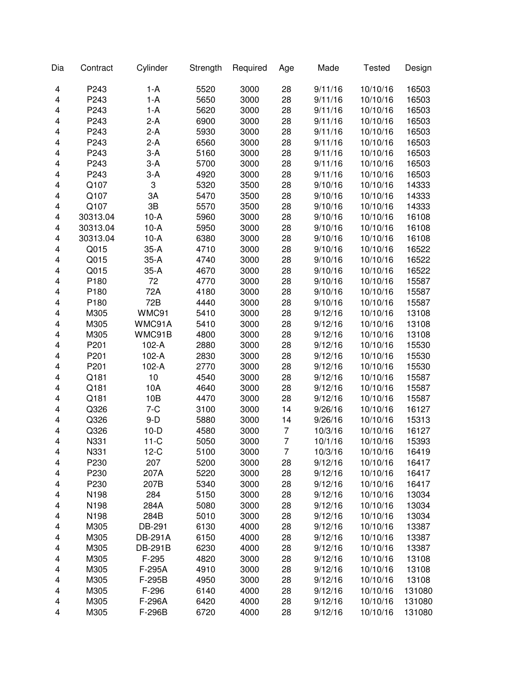| Dia | Contract         | Cylinder       | Strength | Required | Age            | Made    | <b>Tested</b> | Design |
|-----|------------------|----------------|----------|----------|----------------|---------|---------------|--------|
| 4   | P243             | $1-A$          | 5520     | 3000     | 28             | 9/11/16 | 10/10/16      | 16503  |
| 4   | P243             | $1-A$          | 5650     | 3000     | 28             | 9/11/16 | 10/10/16      | 16503  |
| 4   | P243             | $1-A$          | 5620     | 3000     | 28             | 9/11/16 | 10/10/16      | 16503  |
| 4   | P243             | $2-A$          | 6900     | 3000     | 28             | 9/11/16 | 10/10/16      | 16503  |
| 4   | P243             | $2-A$          | 5930     | 3000     | 28             | 9/11/16 | 10/10/16      | 16503  |
| 4   | P243             | $2-A$          | 6560     | 3000     | 28             | 9/11/16 | 10/10/16      | 16503  |
| 4   | P243             | $3-A$          | 5160     | 3000     | 28             | 9/11/16 | 10/10/16      | 16503  |
| 4   | P243             | $3-A$          | 5700     | 3000     | 28             | 9/11/16 | 10/10/16      | 16503  |
| 4   | P243             | $3-A$          | 4920     | 3000     | 28             | 9/11/16 | 10/10/16      | 16503  |
| 4   | Q107             | 3              | 5320     | 3500     | 28             | 9/10/16 | 10/10/16      | 14333  |
| 4   | Q107             | 3A             | 5470     | 3500     | 28             | 9/10/16 | 10/10/16      | 14333  |
| 4   | Q107             | 3B             | 5570     | 3500     | 28             | 9/10/16 | 10/10/16      | 14333  |
| 4   | 30313.04         | $10-A$         | 5960     | 3000     | 28             | 9/10/16 | 10/10/16      | 16108  |
| 4   | 30313.04         | $10-A$         | 5950     | 3000     | 28             | 9/10/16 | 10/10/16      | 16108  |
| 4   | 30313.04         | $10-A$         | 6380     | 3000     | 28             | 9/10/16 | 10/10/16      | 16108  |
| 4   | Q015             | $35-A$         | 4710     | 3000     | 28             | 9/10/16 | 10/10/16      | 16522  |
| 4   | Q015             | $35-A$         | 4740     | 3000     | 28             | 9/10/16 | 10/10/16      | 16522  |
| 4   | Q015             | $35-A$         | 4670     | 3000     | 28             | 9/10/16 | 10/10/16      | 16522  |
| 4   | P180             | 72             | 4770     | 3000     | 28             | 9/10/16 | 10/10/16      | 15587  |
| 4   | P180             | 72A            | 4180     | 3000     | 28             | 9/10/16 | 10/10/16      | 15587  |
| 4   | P <sub>180</sub> | 72B            | 4440     | 3000     | 28             | 9/10/16 | 10/10/16      | 15587  |
| 4   | M305             | WMC91          | 5410     | 3000     | 28             | 9/12/16 | 10/10/16      | 13108  |
| 4   | M305             | WMC91A         | 5410     | 3000     | 28             | 9/12/16 | 10/10/16      | 13108  |
| 4   | M305             | WMC91B         | 4800     | 3000     | 28             | 9/12/16 | 10/10/16      | 13108  |
| 4   | P201             | 102-A          | 2880     | 3000     | 28             | 9/12/16 | 10/10/16      | 15530  |
| 4   | P201             | 102-A          | 2830     | 3000     | 28             | 9/12/16 | 10/10/16      | 15530  |
| 4   | P201             | 102-A          | 2770     | 3000     | 28             | 9/12/16 | 10/10/16      | 15530  |
| 4   | Q181             | 10             | 4540     | 3000     | 28             | 9/12/16 | 10/10/16      | 15587  |
| 4   | Q181             | 10A            | 4640     | 3000     | 28             | 9/12/16 | 10/10/16      | 15587  |
| 4   | Q181             | 10B            | 4470     | 3000     | 28             | 9/12/16 | 10/10/16      | 15587  |
| 4   | Q326             | $7 - C$        | 3100     | 3000     | 14             | 9/26/16 | 10/10/16      | 16127  |
| 4   | Q326             | $9-D$          | 5880     | 3000     | 14             | 9/26/16 | 10/10/16      | 15313  |
| 4   | Q326             | $10-D$         | 4580     | 3000     | 7              | 10/3/16 | 10/10/16      | 16127  |
| 4   | N331             | $11-C$         | 5050     | 3000     | $\overline{7}$ | 10/1/16 | 10/10/16      | 15393  |
| 4   | N331             | $12-C$         | 5100     | 3000     | $\overline{7}$ | 10/3/16 | 10/10/16      | 16419  |
| 4   | P230             | 207            | 5200     | 3000     | 28             | 9/12/16 | 10/10/16      | 16417  |
| 4   | P230             | 207A           | 5220     | 3000     | 28             | 9/12/16 | 10/10/16      | 16417  |
| 4   | P230             | 207B           | 5340     | 3000     | 28             | 9/12/16 | 10/10/16      | 16417  |
| 4   | N198             | 284            | 5150     | 3000     | 28             | 9/12/16 | 10/10/16      | 13034  |
| 4   | N198             | 284A           | 5080     | 3000     | 28             | 9/12/16 | 10/10/16      | 13034  |
| 4   | N198             | 284B           | 5010     | 3000     | 28             | 9/12/16 | 10/10/16      | 13034  |
| 4   | M305             | DB-291         | 6130     | 4000     | 28             | 9/12/16 | 10/10/16      | 13387  |
| 4   | M305             | <b>DB-291A</b> | 6150     | 4000     | 28             | 9/12/16 | 10/10/16      | 13387  |
| 4   | M305             | <b>DB-291B</b> | 6230     | 4000     | 28             | 9/12/16 | 10/10/16      | 13387  |
| 4   | M305             | F-295          | 4820     | 3000     | 28             | 9/12/16 | 10/10/16      | 13108  |
| 4   | M305             | F-295A         | 4910     | 3000     | 28             | 9/12/16 | 10/10/16      | 13108  |
| 4   | M305             | F-295B         | 4950     | 3000     | 28             | 9/12/16 | 10/10/16      | 13108  |
| 4   | M305             | F-296          | 6140     | 4000     | 28             | 9/12/16 | 10/10/16      | 131080 |
| 4   | M305             | F-296A         | 6420     | 4000     | 28             | 9/12/16 | 10/10/16      | 131080 |
| 4   | M305             | F-296B         | 6720     | 4000     | 28             | 9/12/16 | 10/10/16      | 131080 |
|     |                  |                |          |          |                |         |               |        |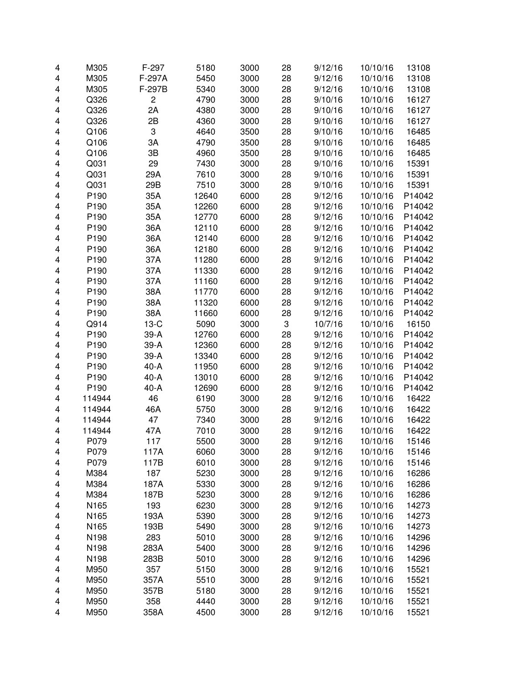| 4                       | M305   | F-297          | 5180  | 3000 | 28 | 9/12/16 | 10/10/16 | 13108  |
|-------------------------|--------|----------------|-------|------|----|---------|----------|--------|
| 4                       | M305   | F-297A         | 5450  | 3000 | 28 | 9/12/16 | 10/10/16 | 13108  |
| 4                       | M305   | F-297B         | 5340  | 3000 | 28 | 9/12/16 | 10/10/16 | 13108  |
| 4                       | Q326   | $\overline{c}$ | 4790  | 3000 | 28 | 9/10/16 | 10/10/16 | 16127  |
| 4                       | Q326   | 2A             | 4380  | 3000 | 28 | 9/10/16 | 10/10/16 | 16127  |
| 4                       | Q326   | 2B             | 4360  | 3000 | 28 | 9/10/16 | 10/10/16 | 16127  |
| 4                       | Q106   | 3              | 4640  | 3500 | 28 | 9/10/16 | 10/10/16 | 16485  |
| 4                       | Q106   | 3A             | 4790  | 3500 | 28 | 9/10/16 | 10/10/16 | 16485  |
| 4                       | Q106   | 3B             | 4960  | 3500 | 28 | 9/10/16 | 10/10/16 | 16485  |
| 4                       | Q031   | 29             | 7430  | 3000 | 28 | 9/10/16 | 10/10/16 | 15391  |
| 4                       | Q031   | 29A            | 7610  | 3000 | 28 | 9/10/16 | 10/10/16 | 15391  |
| 4                       | Q031   | 29B            | 7510  | 3000 | 28 | 9/10/16 | 10/10/16 | 15391  |
| 4                       | P190   | 35A            | 12640 | 6000 | 28 | 9/12/16 | 10/10/16 | P14042 |
| 4                       | P190   | 35A            | 12260 | 6000 | 28 | 9/12/16 | 10/10/16 | P14042 |
| 4                       | P190   | 35A            | 12770 | 6000 | 28 | 9/12/16 | 10/10/16 | P14042 |
| 4                       | P190   | 36A            | 12110 | 6000 | 28 | 9/12/16 | 10/10/16 | P14042 |
| 4                       | P190   | 36A            | 12140 | 6000 | 28 | 9/12/16 | 10/10/16 | P14042 |
| 4                       | P190   | 36A            | 12180 | 6000 | 28 | 9/12/16 | 10/10/16 | P14042 |
| 4                       | P190   | 37A            | 11280 | 6000 | 28 | 9/12/16 | 10/10/16 | P14042 |
| 4                       | P190   | 37A            | 11330 | 6000 | 28 | 9/12/16 | 10/10/16 | P14042 |
| 4                       | P190   | 37A            | 11160 | 6000 | 28 | 9/12/16 | 10/10/16 | P14042 |
| 4                       | P190   | 38A            | 11770 | 6000 | 28 | 9/12/16 | 10/10/16 | P14042 |
| 4                       | P190   | 38A            | 11320 | 6000 | 28 | 9/12/16 | 10/10/16 | P14042 |
| 4                       | P190   | 38A            | 11660 | 6000 | 28 | 9/12/16 | 10/10/16 | P14042 |
| 4                       | Q914   | $13-C$         | 5090  | 3000 | 3  | 10/7/16 | 10/10/16 | 16150  |
| 4                       | P190   | 39-A           | 12760 | 6000 | 28 | 9/12/16 | 10/10/16 | P14042 |
| 4                       | P190   | 39-A           | 12360 | 6000 | 28 | 9/12/16 | 10/10/16 | P14042 |
| 4                       | P190   | 39-A           | 13340 | 6000 | 28 | 9/12/16 | 10/10/16 | P14042 |
| 4                       | P190   | $40-A$         | 11950 | 6000 | 28 | 9/12/16 | 10/10/16 | P14042 |
| 4                       | P190   | $40-A$         | 13010 | 6000 | 28 | 9/12/16 | 10/10/16 | P14042 |
| 4                       | P190   | 40-A           | 12690 | 6000 | 28 | 9/12/16 | 10/10/16 | P14042 |
| 4                       | 114944 | 46             | 6190  | 3000 | 28 | 9/12/16 | 10/10/16 | 16422  |
| $\overline{\mathbf{4}}$ | 114944 | 46A            | 5750  | 3000 | 28 | 9/12/16 | 10/10/16 | 16422  |
| 4                       | 114944 | 47             | 7340  | 3000 | 28 | 9/12/16 | 10/10/16 | 16422  |
| 4                       | 114944 | 47A            | 7010  | 3000 | 28 | 9/12/16 | 10/10/16 | 16422  |
| 4                       | P079   | 117            | 5500  | 3000 | 28 | 9/12/16 | 10/10/16 | 15146  |
|                         | P079   | 117A           | 6060  | 3000 | 28 | 9/12/16 | 10/10/16 | 15146  |
| 4<br>4                  | P079   | 117B           | 6010  | 3000 | 28 | 9/12/16 | 10/10/16 | 15146  |
| 4                       | M384   | 187            | 5230  | 3000 | 28 | 9/12/16 | 10/10/16 | 16286  |
| 4                       | M384   | 187A           | 5330  | 3000 | 28 | 9/12/16 | 10/10/16 | 16286  |
|                         | M384   | 187B           | 5230  | 3000 | 28 | 9/12/16 | 10/10/16 | 16286  |
| 4                       | N165   | 193            | 6230  | 3000 | 28 | 9/12/16 | 10/10/16 | 14273  |
| 4                       |        |                | 5390  | 3000 | 28 |         |          | 14273  |
| 4                       | N165   | 193A           |       |      |    | 9/12/16 | 10/10/16 |        |
| 4                       | N165   | 193B           | 5490  | 3000 | 28 | 9/12/16 | 10/10/16 | 14273  |
| 4                       | N198   | 283            | 5010  | 3000 | 28 | 9/12/16 | 10/10/16 | 14296  |
| 4                       | N198   | 283A           | 5400  | 3000 | 28 | 9/12/16 | 10/10/16 | 14296  |
| 4                       | N198   | 283B           | 5010  | 3000 | 28 | 9/12/16 | 10/10/16 | 14296  |
| 4                       | M950   | 357            | 5150  | 3000 | 28 | 9/12/16 | 10/10/16 | 15521  |
| 4                       | M950   | 357A           | 5510  | 3000 | 28 | 9/12/16 | 10/10/16 | 15521  |
| 4                       | M950   | 357B           | 5180  | 3000 | 28 | 9/12/16 | 10/10/16 | 15521  |
| 4                       | M950   | 358            | 4440  | 3000 | 28 | 9/12/16 | 10/10/16 | 15521  |
| 4                       | M950   | 358A           | 4500  | 3000 | 28 | 9/12/16 | 10/10/16 | 15521  |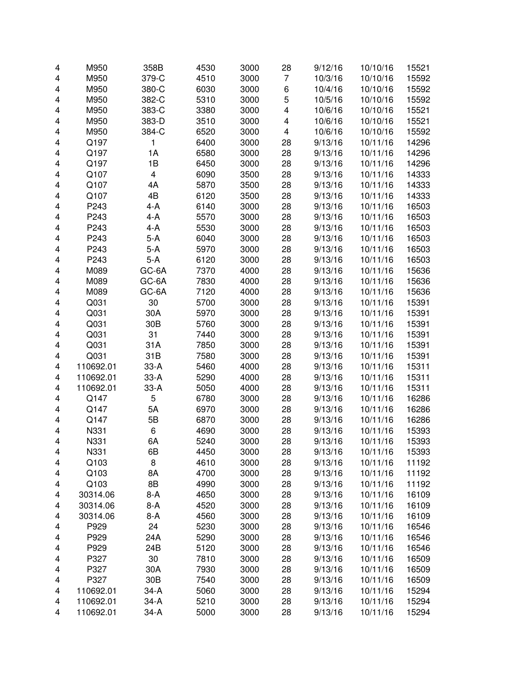| 4 | M950      | 358B                    | 4530 | 3000 | 28 | 9/12/16 | 10/10/16             | 15521 |
|---|-----------|-------------------------|------|------|----|---------|----------------------|-------|
| 4 | M950      | 379-C                   | 4510 | 3000 | 7  | 10/3/16 | 10/10/16             | 15592 |
| 4 | M950      | 380-C                   | 6030 | 3000 | 6  | 10/4/16 | 10/10/16             | 15592 |
| 4 | M950      | 382-C                   | 5310 | 3000 | 5  | 10/5/16 | 10/10/16             | 15592 |
| 4 | M950      | 383-C                   | 3380 | 3000 | 4  | 10/6/16 | 10/10/16             | 15521 |
| 4 | M950      | 383-D                   | 3510 | 3000 | 4  | 10/6/16 | 10/10/16             | 15521 |
| 4 | M950      | 384-C                   | 6520 | 3000 | 4  | 10/6/16 | 10/10/16             | 15592 |
| 4 | Q197      | 1                       | 6400 | 3000 | 28 | 9/13/16 | 10/11/16             | 14296 |
| 4 | Q197      | 1A                      | 6580 | 3000 | 28 | 9/13/16 | 10/11/16             | 14296 |
| 4 | Q197      | 1B                      | 6450 | 3000 | 28 | 9/13/16 | 10/11/16             | 14296 |
| 4 | Q107      | $\overline{\mathbf{4}}$ | 6090 | 3500 | 28 | 9/13/16 | 10/11/16             | 14333 |
| 4 | Q107      | 4A                      | 5870 | 3500 | 28 | 9/13/16 | 10/11/16             | 14333 |
| 4 | Q107      | 4B                      | 6120 | 3500 | 28 | 9/13/16 | 10/11/16             | 14333 |
| 4 | P243      | $4-A$                   | 6140 | 3000 | 28 | 9/13/16 | 10/11/16             | 16503 |
| 4 | P243      | $4-A$                   | 5570 | 3000 | 28 | 9/13/16 | 10/11/16             | 16503 |
| 4 | P243      | $4-A$                   | 5530 | 3000 | 28 | 9/13/16 | 10/11/16             | 16503 |
| 4 | P243      | $5-A$                   | 6040 | 3000 | 28 | 9/13/16 | 10/11/16             | 16503 |
| 4 | P243      | $5-A$                   | 5970 | 3000 | 28 | 9/13/16 | 10/11/16             | 16503 |
| 4 | P243      | $5-A$                   | 6120 | 3000 | 28 | 9/13/16 | 10/11/16             | 16503 |
| 4 | M089      | GC-6A                   | 7370 | 4000 | 28 | 9/13/16 | 10/11/16             | 15636 |
| 4 | M089      | GC-6A                   | 7830 | 4000 | 28 | 9/13/16 | 10/11/16             | 15636 |
| 4 | M089      | GC-6A                   | 7120 | 4000 | 28 | 9/13/16 | 10/11/16             | 15636 |
| 4 | Q031      | 30                      | 5700 | 3000 | 28 | 9/13/16 | 10/11/16             | 15391 |
| 4 | Q031      | 30A                     | 5970 | 3000 | 28 | 9/13/16 | 10/11/16             | 15391 |
| 4 | Q031      | 30B                     | 5760 | 3000 | 28 | 9/13/16 | 10/11/16             | 15391 |
| 4 | Q031      | 31                      | 7440 | 3000 | 28 | 9/13/16 | 10/11/16             | 15391 |
| 4 | Q031      | 31A                     | 7850 | 3000 | 28 | 9/13/16 | 10/11/16             | 15391 |
| 4 | Q031      | 31B                     | 7580 | 3000 | 28 | 9/13/16 | 10/11/16             | 15391 |
| 4 | 110692.01 | $33-A$                  | 5460 | 4000 | 28 | 9/13/16 | 10/11/16             | 15311 |
| 4 | 110692.01 | $33-A$                  | 5290 | 4000 | 28 | 9/13/16 | 10/11/16             | 15311 |
|   | 110692.01 | $33-A$                  | 5050 | 4000 | 28 | 9/13/16 | 10/11/16             | 15311 |
| 4 |           | 5                       |      |      |    |         |                      |       |
| 4 | Q147      |                         | 6780 | 3000 | 28 | 9/13/16 | 10/11/16             | 16286 |
| 4 | Q147      | 5A                      | 6970 | 3000 | 28 | 9/13/16 | 10/11/16<br>10/11/16 | 16286 |
| 4 | Q147      | 5B                      | 6870 | 3000 | 28 | 9/13/16 |                      | 16286 |
| 4 | N331      | 6                       | 4690 | 3000 | 28 | 9/13/16 | 10/11/16             | 15393 |
| 4 | N331      | 6A                      | 5240 | 3000 | 28 | 9/13/16 | 10/11/16             | 15393 |
| 4 | N331      | 6B                      | 4450 | 3000 | 28 | 9/13/16 | 10/11/16             | 15393 |
| 4 | Q103      | 8                       | 4610 | 3000 | 28 | 9/13/16 | 10/11/16             | 11192 |
| 4 | Q103      | 8A                      | 4700 | 3000 | 28 | 9/13/16 | 10/11/16             | 11192 |
| 4 | Q103      | 8B                      | 4990 | 3000 | 28 | 9/13/16 | 10/11/16             | 11192 |
| 4 | 30314.06  | 8-A                     | 4650 | 3000 | 28 | 9/13/16 | 10/11/16             | 16109 |
| 4 | 30314.06  | 8-A                     | 4520 | 3000 | 28 | 9/13/16 | 10/11/16             | 16109 |
| 4 | 30314.06  | 8-A                     | 4560 | 3000 | 28 | 9/13/16 | 10/11/16             | 16109 |
| 4 | P929      | 24                      | 5230 | 3000 | 28 | 9/13/16 | 10/11/16             | 16546 |
| 4 | P929      | 24A                     | 5290 | 3000 | 28 | 9/13/16 | 10/11/16             | 16546 |
| 4 | P929      | 24B                     | 5120 | 3000 | 28 | 9/13/16 | 10/11/16             | 16546 |
| 4 | P327      | 30                      | 7810 | 3000 | 28 | 9/13/16 | 10/11/16             | 16509 |
| 4 | P327      | 30A                     | 7930 | 3000 | 28 | 9/13/16 | 10/11/16             | 16509 |
| 4 | P327      | 30 <sub>B</sub>         | 7540 | 3000 | 28 | 9/13/16 | 10/11/16             | 16509 |
| 4 | 110692.01 | $34-A$                  | 5060 | 3000 | 28 | 9/13/16 | 10/11/16             | 15294 |
| 4 | 110692.01 | $34-A$                  | 5210 | 3000 | 28 | 9/13/16 | 10/11/16             | 15294 |
| 4 | 110692.01 | $34-A$                  | 5000 | 3000 | 28 | 9/13/16 | 10/11/16             | 15294 |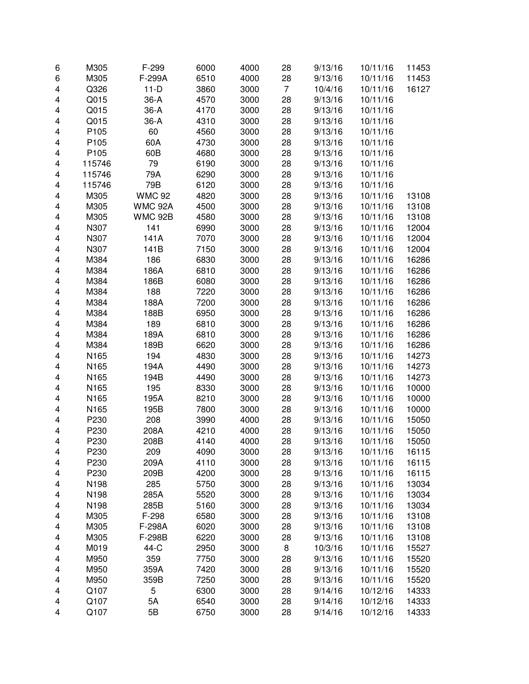| 6                       | M305   | F-299          | 6000 | 4000 | 28             | 9/13/16 | 10/11/16 | 11453 |
|-------------------------|--------|----------------|------|------|----------------|---------|----------|-------|
| 6                       | M305   | F-299A         | 6510 | 4000 | 28             | 9/13/16 | 10/11/16 | 11453 |
| 4                       | Q326   | $11-D$         | 3860 | 3000 | $\overline{7}$ | 10/4/16 | 10/11/16 | 16127 |
| 4                       | Q015   | 36-A           | 4570 | 3000 | 28             | 9/13/16 | 10/11/16 |       |
| 4                       | Q015   | $36-A$         | 4170 | 3000 | 28             | 9/13/16 | 10/11/16 |       |
| 4                       | Q015   | 36-A           | 4310 | 3000 | 28             | 9/13/16 | 10/11/16 |       |
| 4                       | P105   | 60             | 4560 | 3000 | 28             | 9/13/16 | 10/11/16 |       |
| 4                       | P105   | 60A            | 4730 | 3000 | 28             | 9/13/16 | 10/11/16 |       |
| 4                       | P105   | 60B            | 4680 | 3000 | 28             | 9/13/16 | 10/11/16 |       |
| 4                       | 115746 | 79             | 6190 | 3000 | 28             | 9/13/16 | 10/11/16 |       |
| 4                       | 115746 | 79A            | 6290 | 3000 | 28             | 9/13/16 | 10/11/16 |       |
| 4                       | 115746 | 79B            | 6120 | 3000 | 28             | 9/13/16 | 10/11/16 |       |
| 4                       | M305   | <b>WMC 92</b>  | 4820 | 3000 | 28             | 9/13/16 | 10/11/16 | 13108 |
| 4                       | M305   | <b>WMC 92A</b> | 4500 | 3000 | 28             | 9/13/16 | 10/11/16 | 13108 |
| 4                       | M305   | <b>WMC 92B</b> | 4580 | 3000 | 28             | 9/13/16 | 10/11/16 | 13108 |
| $\overline{\mathbf{4}}$ | N307   | 141            | 6990 | 3000 | 28             | 9/13/16 | 10/11/16 | 12004 |
| 4                       | N307   | 141A           | 7070 | 3000 | 28             | 9/13/16 | 10/11/16 | 12004 |
| 4                       | N307   | 141B           | 7150 | 3000 | 28             | 9/13/16 | 10/11/16 | 12004 |
| 4                       | M384   | 186            | 6830 | 3000 | 28             | 9/13/16 | 10/11/16 | 16286 |
| 4                       | M384   | 186A           | 6810 | 3000 | 28             | 9/13/16 | 10/11/16 | 16286 |
| 4                       | M384   | 186B           | 6080 | 3000 | 28             | 9/13/16 | 10/11/16 | 16286 |
| 4                       | M384   | 188            | 7220 | 3000 | 28             | 9/13/16 | 10/11/16 | 16286 |
| 4                       | M384   | 188A           | 7200 | 3000 | 28             | 9/13/16 | 10/11/16 | 16286 |
| 4                       | M384   | 188B           | 6950 | 3000 | 28             | 9/13/16 | 10/11/16 | 16286 |
| 4                       | M384   | 189            | 6810 | 3000 | 28             | 9/13/16 | 10/11/16 | 16286 |
| 4                       | M384   | 189A           | 6810 | 3000 | 28             | 9/13/16 | 10/11/16 | 16286 |
| 4                       | M384   | 189B           | 6620 | 3000 | 28             | 9/13/16 | 10/11/16 | 16286 |
| 4                       | N165   | 194            | 4830 | 3000 | 28             | 9/13/16 | 10/11/16 | 14273 |
| 4                       | N165   | 194A           | 4490 | 3000 | 28             | 9/13/16 | 10/11/16 | 14273 |
| 4                       | N165   | 194B           | 4490 | 3000 | 28             | 9/13/16 | 10/11/16 | 14273 |
| 4                       | N165   | 195            | 8330 | 3000 | 28             | 9/13/16 | 10/11/16 | 10000 |
| 4                       | N165   | 195A           | 8210 | 3000 | 28             | 9/13/16 | 10/11/16 | 10000 |
| $\overline{\mathbf{4}}$ | N165   | 195B           | 7800 | 3000 | 28             | 9/13/16 | 10/11/16 | 10000 |
| $\overline{\mathbf{4}}$ | P230   | 208            | 3990 | 4000 | 28             | 9/13/16 | 10/11/16 | 15050 |
| 4                       | P230   | 208A           | 4210 | 4000 | 28             | 9/13/16 | 10/11/16 | 15050 |
| 4                       | P230   | 208B           | 4140 | 4000 | 28             | 9/13/16 | 10/11/16 | 15050 |
| 4                       | P230   | 209            | 4090 | 3000 | 28             | 9/13/16 | 10/11/16 | 16115 |
| 4                       | P230   | 209A           | 4110 | 3000 | 28             | 9/13/16 | 10/11/16 | 16115 |
| 4                       | P230   | 209B           | 4200 | 3000 | 28             | 9/13/16 | 10/11/16 | 16115 |
| 4                       | N198   | 285            | 5750 | 3000 | 28             | 9/13/16 | 10/11/16 | 13034 |
| 4                       | N198   | 285A           | 5520 | 3000 | 28             | 9/13/16 | 10/11/16 | 13034 |
| 4                       | N198   | 285B           | 5160 | 3000 | 28             | 9/13/16 | 10/11/16 | 13034 |
| 4                       | M305   | F-298          | 6580 | 3000 | 28             | 9/13/16 | 10/11/16 | 13108 |
| 4                       | M305   | F-298A         | 6020 | 3000 | 28             | 9/13/16 | 10/11/16 | 13108 |
| 4                       | M305   | F-298B         | 6220 | 3000 | 28             | 9/13/16 | 10/11/16 | 13108 |
| 4                       | M019   | 44-C           | 2950 | 3000 | 8              | 10/3/16 | 10/11/16 | 15527 |
| 4                       | M950   | 359            | 7750 | 3000 | 28             | 9/13/16 | 10/11/16 | 15520 |
| 4                       | M950   | 359A           | 7420 | 3000 | 28             | 9/13/16 | 10/11/16 | 15520 |
| 4                       | M950   | 359B           | 7250 | 3000 | 28             | 9/13/16 | 10/11/16 | 15520 |
| 4                       | Q107   | 5              | 6300 | 3000 | 28             | 9/14/16 | 10/12/16 | 14333 |
| 4                       | Q107   | 5A             | 6540 | 3000 | 28             | 9/14/16 | 10/12/16 | 14333 |
| 4                       | Q107   | 5B             | 6750 | 3000 | 28             | 9/14/16 | 10/12/16 | 14333 |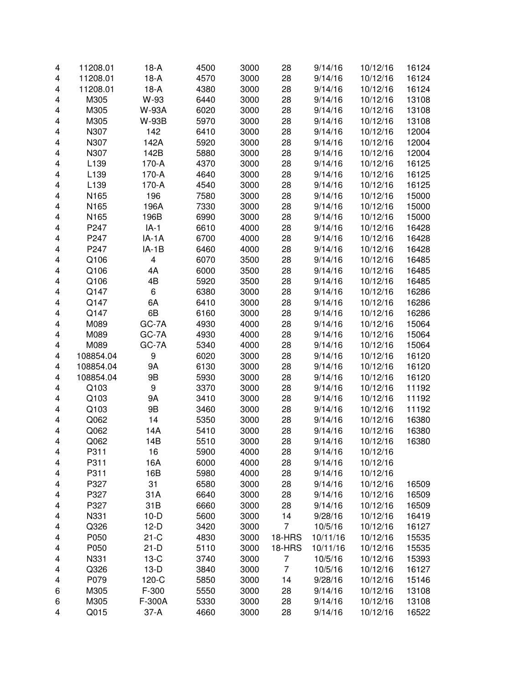| 4 | 11208.01  | $18-A$       | 4500 | 3000 | 28             | 9/14/16  | 10/12/16 | 16124 |
|---|-----------|--------------|------|------|----------------|----------|----------|-------|
| 4 | 11208.01  | $18-A$       | 4570 | 3000 | 28             | 9/14/16  | 10/12/16 | 16124 |
| 4 | 11208.01  | $18-A$       | 4380 | 3000 | 28             | 9/14/16  | 10/12/16 | 16124 |
| 4 | M305      | W-93         | 6440 | 3000 | 28             | 9/14/16  | 10/12/16 | 13108 |
| 4 | M305      | <b>W-93A</b> | 6020 | 3000 | 28             | 9/14/16  | 10/12/16 | 13108 |
| 4 | M305      | W-93B        | 5970 | 3000 | 28             | 9/14/16  | 10/12/16 | 13108 |
|   |           |              |      |      |                |          |          |       |
| 4 | N307      | 142          | 6410 | 3000 | 28             | 9/14/16  | 10/12/16 | 12004 |
| 4 | N307      | 142A         | 5920 | 3000 | 28             | 9/14/16  | 10/12/16 | 12004 |
| 4 | N307      | 142B         | 5880 | 3000 | 28             | 9/14/16  | 10/12/16 | 12004 |
| 4 | L139      | 170-A        | 4370 | 3000 | 28             | 9/14/16  | 10/12/16 | 16125 |
| 4 | L139      | 170-A        | 4640 | 3000 | 28             | 9/14/16  | 10/12/16 | 16125 |
| 4 | L139      | 170-A        | 4540 | 3000 | 28             | 9/14/16  | 10/12/16 | 16125 |
| 4 | N165      | 196          | 7580 | 3000 | 28             | 9/14/16  | 10/12/16 | 15000 |
| 4 | N165      | 196A         | 7330 | 3000 | 28             | 9/14/16  | 10/12/16 | 15000 |
| 4 | N165      | 196B         | 6990 | 3000 | 28             | 9/14/16  | 10/12/16 | 15000 |
| 4 | P247      | $IA-1$       | 6610 | 4000 | 28             | 9/14/16  | 10/12/16 | 16428 |
| 4 | P247      | $IA-1A$      | 6700 | 4000 | 28             | 9/14/16  | 10/12/16 | 16428 |
| 4 | P247      | $IA-1B$      | 6460 | 4000 | 28             | 9/14/16  | 10/12/16 | 16428 |
| 4 | Q106      | 4            | 6070 | 3500 | 28             | 9/14/16  | 10/12/16 | 16485 |
| 4 | Q106      | 4A           | 6000 | 3500 | 28             | 9/14/16  | 10/12/16 | 16485 |
| 4 | Q106      | 4B           | 5920 | 3500 | 28             | 9/14/16  | 10/12/16 | 16485 |
| 4 | Q147      | 6            | 6380 | 3000 | 28             | 9/14/16  | 10/12/16 | 16286 |
| 4 | Q147      | 6A           | 6410 | 3000 | 28             | 9/14/16  | 10/12/16 | 16286 |
| 4 | Q147      | 6B           | 6160 | 3000 | 28             | 9/14/16  | 10/12/16 | 16286 |
| 4 | M089      | GC-7A        | 4930 | 4000 | 28             | 9/14/16  | 10/12/16 | 15064 |
| 4 | M089      | GC-7A        | 4930 | 4000 | 28             | 9/14/16  | 10/12/16 | 15064 |
| 4 | M089      | GC-7A        | 5340 | 4000 | 28             | 9/14/16  | 10/12/16 | 15064 |
| 4 | 108854.04 | 9            | 6020 | 3000 | 28             | 9/14/16  | 10/12/16 | 16120 |
| 4 | 108854.04 | <b>9A</b>    | 6130 | 3000 | 28             | 9/14/16  | 10/12/16 | 16120 |
| 4 | 108854.04 | 9B           | 5930 | 3000 | 28             | 9/14/16  | 10/12/16 | 16120 |
| 4 | Q103      | 9            | 3370 | 3000 | 28             | 9/14/16  | 10/12/16 | 11192 |
| 4 | Q103      | <b>9A</b>    | 3410 | 3000 | 28             | 9/14/16  | 10/12/16 | 11192 |
| 4 | Q103      | 9B           | 3460 | 3000 | 28             | 9/14/16  | 10/12/16 | 11192 |
| 4 | Q062      | 14           | 5350 | 3000 | 28             | 9/14/16  | 10/12/16 | 16380 |
|   | Q062      | 14A          | 5410 |      | 28             | 9/14/16  | 10/12/16 |       |
| 4 |           |              |      | 3000 |                |          |          | 16380 |
| 4 | Q062      | 14B          | 5510 | 3000 | 28             | 9/14/16  | 10/12/16 | 16380 |
| 4 | P311      | 16           | 5900 | 4000 | 28             | 9/14/16  | 10/12/16 |       |
| 4 | P311      | 16A          | 6000 | 4000 | 28             | 9/14/16  | 10/12/16 |       |
| 4 | P311      | 16B          | 5980 | 4000 | 28             | 9/14/16  | 10/12/16 |       |
| 4 | P327      | 31           | 6580 | 3000 | 28             | 9/14/16  | 10/12/16 | 16509 |
| 4 | P327      | 31A          | 6640 | 3000 | 28             | 9/14/16  | 10/12/16 | 16509 |
| 4 | P327      | 31B          | 6660 | 3000 | 28             | 9/14/16  | 10/12/16 | 16509 |
| 4 | N331      | $10-D$       | 5600 | 3000 | 14             | 9/28/16  | 10/12/16 | 16419 |
| 4 | Q326      | $12-D$       | 3420 | 3000 | 7              | 10/5/16  | 10/12/16 | 16127 |
| 4 | P050      | $21-C$       | 4830 | 3000 | 18-HRS         | 10/11/16 | 10/12/16 | 15535 |
| 4 | P050      | $21-D$       | 5110 | 3000 | 18-HRS         | 10/11/16 | 10/12/16 | 15535 |
| 4 | N331      | $13-C$       | 3740 | 3000 | $\overline{7}$ | 10/5/16  | 10/12/16 | 15393 |
| 4 | Q326      | $13-D$       | 3840 | 3000 | $\overline{7}$ | 10/5/16  | 10/12/16 | 16127 |
| 4 | P079      | 120-C        | 5850 | 3000 | 14             | 9/28/16  | 10/12/16 | 15146 |
| 6 | M305      | F-300        | 5550 | 3000 | 28             | 9/14/16  | 10/12/16 | 13108 |
| 6 | M305      | F-300A       | 5330 | 3000 | 28             | 9/14/16  | 10/12/16 | 13108 |
| 4 | Q015      | $37 - A$     | 4660 | 3000 | 28             | 9/14/16  | 10/12/16 | 16522 |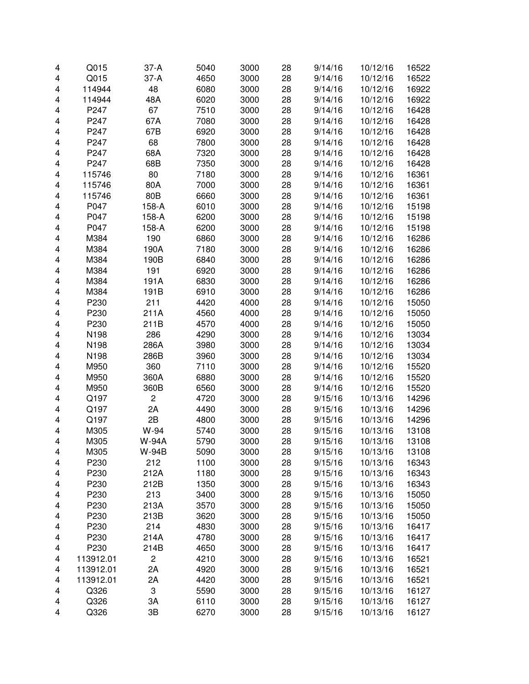| 4 | Q015         | $37-A$         | 5040         | 3000         | 28 | 9/14/16            | 10/12/16             | 16522          |
|---|--------------|----------------|--------------|--------------|----|--------------------|----------------------|----------------|
| 4 | Q015         | $37-A$         | 4650         | 3000         | 28 | 9/14/16            | 10/12/16             | 16522          |
| 4 | 114944       | 48             | 6080         | 3000         | 28 | 9/14/16            | 10/12/16             | 16922          |
| 4 | 114944       | 48A            | 6020         | 3000         | 28 | 9/14/16            | 10/12/16             | 16922          |
| 4 | P247         | 67             | 7510         | 3000         | 28 | 9/14/16            | 10/12/16             | 16428          |
| 4 | P247         | 67A            | 7080         | 3000         | 28 | 9/14/16            | 10/12/16             | 16428          |
| 4 | P247         | 67B            | 6920         | 3000         | 28 | 9/14/16            | 10/12/16             | 16428          |
| 4 | P247         | 68             | 7800         | 3000         | 28 | 9/14/16            | 10/12/16             | 16428          |
| 4 | P247         | 68A            | 7320         | 3000         | 28 | 9/14/16            | 10/12/16             | 16428          |
| 4 | P247         | 68B            | 7350         | 3000         | 28 | 9/14/16            | 10/12/16             | 16428          |
| 4 | 115746       | 80             | 7180         | 3000         | 28 | 9/14/16            | 10/12/16             | 16361          |
| 4 | 115746       | 80A            | 7000         | 3000         | 28 | 9/14/16            | 10/12/16             | 16361          |
| 4 | 115746       | 80B            | 6660         | 3000         | 28 | 9/14/16            | 10/12/16             | 16361          |
| 4 | P047         | 158-A          | 6010         | 3000         | 28 | 9/14/16            | 10/12/16             | 15198          |
| 4 | P047         | 158-A          | 6200         | 3000         | 28 | 9/14/16            | 10/12/16             | 15198          |
| 4 | P047         | 158-A          | 6200         | 3000         | 28 | 9/14/16            | 10/12/16             | 15198          |
| 4 | M384         | 190            | 6860         | 3000         | 28 | 9/14/16            | 10/12/16             | 16286          |
| 4 | M384         | 190A           | 7180         | 3000         | 28 | 9/14/16            | 10/12/16             | 16286          |
| 4 | M384         | 190B           | 6840         | 3000         | 28 | 9/14/16            | 10/12/16             | 16286          |
| 4 | M384         | 191            | 6920         | 3000         | 28 | 9/14/16            | 10/12/16             | 16286          |
| 4 | M384         | 191A           | 6830         | 3000         | 28 | 9/14/16            | 10/12/16             | 16286          |
| 4 | M384         | 191B           | 6910         | 3000         | 28 | 9/14/16            | 10/12/16             | 16286          |
| 4 | P230         | 211            | 4420         | 4000         | 28 | 9/14/16            | 10/12/16             | 15050          |
| 4 | P230         | 211A           | 4560         | 4000         | 28 | 9/14/16            | 10/12/16             | 15050          |
| 4 | P230         | 211B           | 4570         | 4000         | 28 | 9/14/16            | 10/12/16             | 15050          |
| 4 | N198         | 286            | 4290         | 3000         | 28 | 9/14/16            | 10/12/16             | 13034          |
| 4 | N198         | 286A           | 3980         | 3000         | 28 | 9/14/16            | 10/12/16             | 13034          |
| 4 | N198         | 286B           | 3960         | 3000         | 28 | 9/14/16            | 10/12/16             | 13034          |
| 4 | M950         | 360            | 7110         | 3000         | 28 | 9/14/16            | 10/12/16             | 15520          |
| 4 | M950         | 360A           | 6880         | 3000         | 28 | 9/14/16            | 10/12/16             | 15520          |
| 4 | M950         | 360B           | 6560         | 3000         | 28 | 9/14/16            | 10/12/16             | 15520          |
| 4 | Q197         | $\overline{c}$ | 4720         | 3000         | 28 | 9/15/16            | 10/13/16             | 14296          |
| 4 | Q197         | 2A             | 4490         | 3000         | 28 | 9/15/16            | 10/13/16             | 14296          |
| 4 | Q197         | 2B             | 4800         | 3000         | 28 | 9/15/16            | 10/13/16             | 14296          |
| 4 | M305         | W-94           | 5740         |              | 28 | 9/15/16            | 10/13/16             |                |
| 4 | M305         | <b>W-94A</b>   | 5790         | 3000<br>3000 | 28 | 9/15/16            | 10/13/16             | 13108<br>13108 |
|   |              | W-94B          |              |              |    |                    |                      | 13108          |
| 4 | M305<br>P230 | 212            | 5090<br>1100 | 3000         | 28 | 9/15/16<br>9/15/16 | 10/13/16<br>10/13/16 | 16343          |
| 4 |              |                |              | 3000         | 28 |                    |                      |                |
| 4 | P230<br>P230 | 212A           | 1180         | 3000         | 28 | 9/15/16            | 10/13/16             | 16343          |
| 4 | P230         | 212B           | 1350         | 3000         | 28 | 9/15/16            | 10/13/16             | 16343          |
| 4 |              | 213            | 3400         | 3000         | 28 | 9/15/16            | 10/13/16             | 15050          |
| 4 | P230         | 213A           | 3570         | 3000         | 28 | 9/15/16            | 10/13/16             | 15050          |
| 4 | P230         | 213B           | 3620         | 3000         | 28 | 9/15/16            | 10/13/16             | 15050          |
| 4 | P230         | 214            | 4830         | 3000         | 28 | 9/15/16            | 10/13/16             | 16417          |
| 4 | P230         | 214A           | 4780         | 3000         | 28 | 9/15/16            | 10/13/16             | 16417          |
| 4 | P230         | 214B           | 4650         | 3000         | 28 | 9/15/16            | 10/13/16             | 16417          |
| 4 | 113912.01    | $\overline{c}$ | 4210         | 3000         | 28 | 9/15/16            | 10/13/16             | 16521          |
| 4 | 113912.01    | 2A             | 4920         | 3000         | 28 | 9/15/16            | 10/13/16             | 16521          |
| 4 | 113912.01    | 2A             | 4420         | 3000         | 28 | 9/15/16            | 10/13/16             | 16521          |
| 4 | Q326         | 3              | 5590         | 3000         | 28 | 9/15/16            | 10/13/16             | 16127          |
| 4 | Q326         | 3A             | 6110         | 3000         | 28 | 9/15/16            | 10/13/16             | 16127          |
| 4 | Q326         | 3B             | 6270         | 3000         | 28 | 9/15/16            | 10/13/16             | 16127          |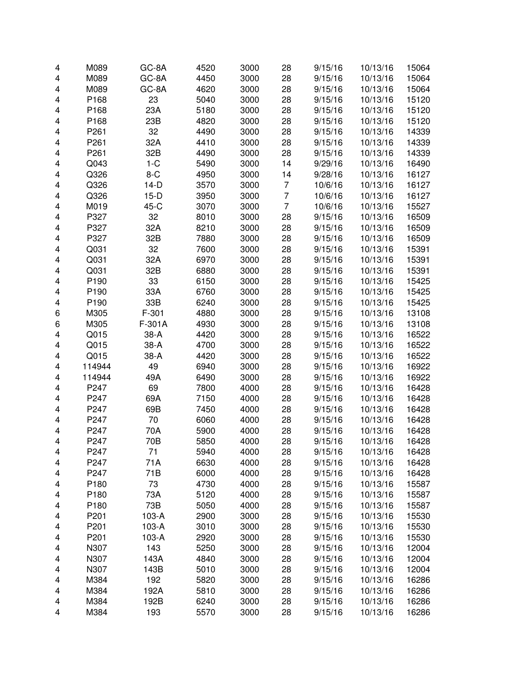| 4 | M089             | GC-8A   | 4520 | 3000 | 28             | 9/15/16 | 10/13/16 | 15064 |
|---|------------------|---------|------|------|----------------|---------|----------|-------|
| 4 | M089             | GC-8A   | 4450 | 3000 | 28             | 9/15/16 | 10/13/16 | 15064 |
| 4 | M089             | GC-8A   | 4620 | 3000 | 28             | 9/15/16 | 10/13/16 | 15064 |
| 4 | P168             | 23      | 5040 | 3000 | 28             | 9/15/16 | 10/13/16 | 15120 |
| 4 | P168             | 23A     | 5180 | 3000 | 28             | 9/15/16 | 10/13/16 | 15120 |
| 4 | P168             | 23B     | 4820 | 3000 | 28             | 9/15/16 | 10/13/16 | 15120 |
| 4 | P <sub>261</sub> | 32      | 4490 | 3000 | 28             | 9/15/16 | 10/13/16 | 14339 |
| 4 | P <sub>261</sub> | 32A     | 4410 | 3000 | 28             | 9/15/16 | 10/13/16 | 14339 |
| 4 | P261             | 32B     | 4490 | 3000 | 28             | 9/15/16 | 10/13/16 | 14339 |
| 4 | Q043             | $1-C$   | 5490 | 3000 | 14             | 9/29/16 | 10/13/16 | 16490 |
| 4 | Q326             | $8-C$   | 4950 | 3000 | 14             | 9/28/16 | 10/13/16 | 16127 |
| 4 | Q326             | $14-D$  | 3570 | 3000 | 7              | 10/6/16 | 10/13/16 | 16127 |
| 4 | Q326             | $15-D$  | 3950 | 3000 | $\overline{7}$ | 10/6/16 | 10/13/16 | 16127 |
| 4 | M019             | 45-C    | 3070 | 3000 | $\overline{7}$ | 10/6/16 | 10/13/16 | 15527 |
| 4 | P327             | 32      | 8010 | 3000 | 28             | 9/15/16 | 10/13/16 | 16509 |
| 4 | P327             | 32A     | 8210 | 3000 | 28             | 9/15/16 | 10/13/16 | 16509 |
| 4 | P327             | 32B     | 7880 | 3000 | 28             | 9/15/16 | 10/13/16 | 16509 |
| 4 | Q031             | 32      | 7600 | 3000 | 28             | 9/15/16 | 10/13/16 | 15391 |
| 4 | Q031             | 32A     | 6970 | 3000 | 28             | 9/15/16 | 10/13/16 | 15391 |
| 4 | Q031             | 32B     | 6880 | 3000 | 28             | 9/15/16 | 10/13/16 | 15391 |
| 4 | P <sub>190</sub> | 33      | 6150 | 3000 | 28             | 9/15/16 | 10/13/16 | 15425 |
| 4 | P <sub>190</sub> | 33A     | 6760 | 3000 | 28             | 9/15/16 | 10/13/16 | 15425 |
| 4 | P <sub>190</sub> | 33B     | 6240 | 3000 | 28             | 9/15/16 | 10/13/16 | 15425 |
| 6 | M305             | $F-301$ | 4880 | 3000 | 28             | 9/15/16 | 10/13/16 | 13108 |
| 6 | M305             | F-301A  | 4930 | 3000 | 28             | 9/15/16 | 10/13/16 | 13108 |
| 4 | Q015             | $38-A$  | 4420 | 3000 | 28             | 9/15/16 | 10/13/16 | 16522 |
| 4 | Q015             | 38-A    | 4700 | 3000 | 28             | 9/15/16 | 10/13/16 | 16522 |
| 4 | Q015             | 38-A    | 4420 | 3000 | 28             | 9/15/16 | 10/13/16 | 16522 |
| 4 | 114944           | 49      | 6940 | 3000 | 28             | 9/15/16 | 10/13/16 | 16922 |
| 4 | 114944           | 49A     | 6490 | 3000 | 28             | 9/15/16 | 10/13/16 | 16922 |
| 4 | P247             | 69      | 7800 | 4000 | 28             | 9/15/16 | 10/13/16 | 16428 |
| 4 | P247             | 69A     | 7150 | 4000 | 28             | 9/15/16 | 10/13/16 | 16428 |
| 4 | P247             | 69B     | 7450 | 4000 | 28             | 9/15/16 | 10/13/16 | 16428 |
| 4 | P247             | 70      | 6060 | 4000 | 28             | 9/15/16 | 10/13/16 | 16428 |
| 4 | P247             | 70A     | 5900 | 4000 | 28             | 9/15/16 | 10/13/16 | 16428 |
| 4 | P247             | 70B     | 5850 | 4000 | 28             | 9/15/16 | 10/13/16 | 16428 |
| 4 | P247             | 71      | 5940 | 4000 | 28             | 9/15/16 | 10/13/16 | 16428 |
| 4 | P247             | 71A     | 6630 | 4000 | 28             | 9/15/16 | 10/13/16 | 16428 |
| 4 | P247             | 71B     | 6000 | 4000 | 28             | 9/15/16 | 10/13/16 | 16428 |
| 4 | P180             | 73      | 4730 | 4000 | 28             | 9/15/16 | 10/13/16 | 15587 |
| 4 | P180             | 73A     | 5120 | 4000 | 28             | 9/15/16 | 10/13/16 | 15587 |
| 4 | P180             | 73B     | 5050 | 4000 | 28             | 9/15/16 | 10/13/16 | 15587 |
| 4 | P201             | 103-A   | 2900 | 3000 | 28             | 9/15/16 | 10/13/16 | 15530 |
| 4 | P201             | 103-A   | 3010 | 3000 | 28             | 9/15/16 | 10/13/16 | 15530 |
| 4 | P201             | 103-A   | 2920 | 3000 | 28             | 9/15/16 | 10/13/16 | 15530 |
| 4 | N307             | 143     | 5250 | 3000 | 28             | 9/15/16 | 10/13/16 | 12004 |
| 4 | N307             | 143A    | 4840 | 3000 | 28             | 9/15/16 | 10/13/16 | 12004 |
| 4 | N307             | 143B    | 5010 | 3000 | 28             | 9/15/16 | 10/13/16 | 12004 |
| 4 | M384             | 192     | 5820 | 3000 | 28             | 9/15/16 | 10/13/16 | 16286 |
| 4 | M384             | 192A    | 5810 | 3000 | 28             | 9/15/16 | 10/13/16 | 16286 |
| 4 | M384             | 192B    | 6240 | 3000 | 28             | 9/15/16 | 10/13/16 | 16286 |
| 4 | M384             | 193     | 5570 | 3000 | 28             | 9/15/16 | 10/13/16 | 16286 |
|   |                  |         |      |      |                |         |          |       |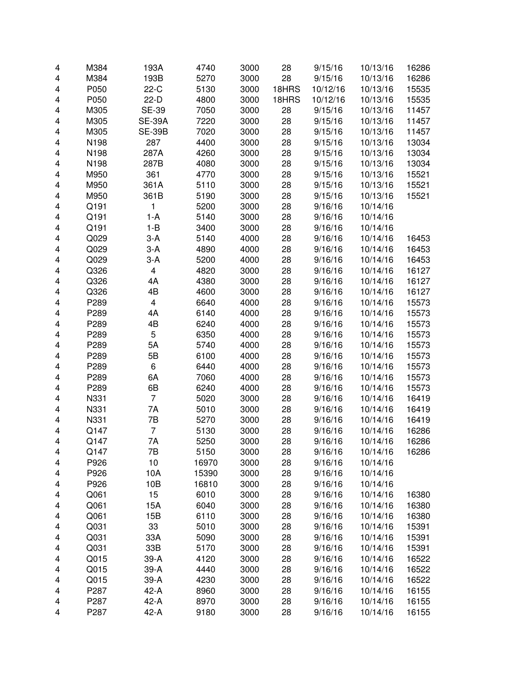| 4 | M384 | 193A           | 4740  | 3000 | 28    | 9/15/16  | 10/13/16 | 16286 |
|---|------|----------------|-------|------|-------|----------|----------|-------|
| 4 | M384 | 193B           | 5270  | 3000 | 28    | 9/15/16  | 10/13/16 | 16286 |
| 4 | P050 | $22-C$         | 5130  | 3000 | 18HRS | 10/12/16 | 10/13/16 | 15535 |
| 4 | P050 | $22-D$         | 4800  | 3000 | 18HRS | 10/12/16 | 10/13/16 | 15535 |
| 4 | M305 | <b>SE-39</b>   | 7050  | 3000 | 28    | 9/15/16  | 10/13/16 | 11457 |
| 4 | M305 | <b>SE-39A</b>  | 7220  | 3000 | 28    | 9/15/16  | 10/13/16 | 11457 |
| 4 | M305 | <b>SE-39B</b>  | 7020  | 3000 | 28    | 9/15/16  | 10/13/16 | 11457 |
| 4 | N198 | 287            | 4400  | 3000 | 28    | 9/15/16  | 10/13/16 | 13034 |
| 4 | N198 | 287A           | 4260  | 3000 | 28    | 9/15/16  | 10/13/16 | 13034 |
| 4 | N198 | 287B           | 4080  | 3000 | 28    | 9/15/16  | 10/13/16 | 13034 |
| 4 | M950 | 361            | 4770  | 3000 | 28    | 9/15/16  | 10/13/16 | 15521 |
| 4 | M950 | 361A           | 5110  | 3000 | 28    | 9/15/16  | 10/13/16 | 15521 |
| 4 | M950 | 361B           | 5190  | 3000 | 28    | 9/15/16  | 10/13/16 | 15521 |
| 4 | Q191 | 1              | 5200  | 3000 | 28    | 9/16/16  | 10/14/16 |       |
| 4 | Q191 | $1-A$          | 5140  | 3000 | 28    | 9/16/16  | 10/14/16 |       |
| 4 | Q191 | $1 - B$        | 3400  | 3000 | 28    | 9/16/16  | 10/14/16 |       |
| 4 | Q029 | $3-A$          | 5140  | 4000 | 28    | 9/16/16  | 10/14/16 | 16453 |
| 4 | Q029 | $3-A$          | 4890  | 4000 | 28    | 9/16/16  | 10/14/16 | 16453 |
| 4 | Q029 | $3-A$          | 5200  | 4000 | 28    | 9/16/16  | 10/14/16 | 16453 |
| 4 | Q326 | 4              | 4820  | 3000 | 28    | 9/16/16  | 10/14/16 | 16127 |
| 4 | Q326 | 4A             | 4380  | 3000 | 28    | 9/16/16  | 10/14/16 | 16127 |
| 4 | Q326 | 4B             | 4600  | 3000 | 28    | 9/16/16  | 10/14/16 | 16127 |
| 4 | P289 | 4              | 6640  | 4000 | 28    | 9/16/16  | 10/14/16 | 15573 |
| 4 | P289 | 4A             | 6140  | 4000 | 28    | 9/16/16  | 10/14/16 | 15573 |
| 4 | P289 | 4B             | 6240  | 4000 | 28    | 9/16/16  | 10/14/16 | 15573 |
| 4 | P289 | 5              | 6350  | 4000 | 28    | 9/16/16  | 10/14/16 | 15573 |
| 4 | P289 | 5A             | 5740  | 4000 | 28    | 9/16/16  | 10/14/16 | 15573 |
| 4 | P289 | 5B             | 6100  | 4000 | 28    | 9/16/16  | 10/14/16 | 15573 |
| 4 | P289 | 6              | 6440  | 4000 | 28    | 9/16/16  | 10/14/16 | 15573 |
| 4 | P289 | 6A             | 7060  | 4000 | 28    | 9/16/16  | 10/14/16 | 15573 |
| 4 | P289 | 6B             | 6240  | 4000 | 28    | 9/16/16  | 10/14/16 | 15573 |
| 4 | N331 | $\overline{7}$ | 5020  | 3000 | 28    | 9/16/16  | 10/14/16 | 16419 |
| 4 | N331 | 7A             | 5010  | 3000 | 28    | 9/16/16  | 10/14/16 | 16419 |
| 4 | N331 | 7B             | 5270  | 3000 | 28    | 9/16/16  | 10/14/16 | 16419 |
| 4 | Q147 | 7              | 5130  | 3000 | 28    | 9/16/16  | 10/14/16 | 16286 |
| 4 | Q147 | 7A             | 5250  | 3000 | 28    | 9/16/16  | 10/14/16 | 16286 |
| 4 | Q147 | 7Β             | 5150  | 3000 | 28    | 9/16/16  | 10/14/16 | 16286 |
| 4 | P926 | 10             | 16970 | 3000 | 28    | 9/16/16  | 10/14/16 |       |
| 4 | P926 | 10A            | 15390 | 3000 | 28    | 9/16/16  | 10/14/16 |       |
| 4 | P926 | 10B            | 16810 | 3000 | 28    | 9/16/16  | 10/14/16 |       |
| 4 | Q061 | 15             | 6010  | 3000 | 28    | 9/16/16  | 10/14/16 | 16380 |
| 4 | Q061 | 15A            | 6040  | 3000 | 28    | 9/16/16  | 10/14/16 | 16380 |
| 4 | Q061 | 15B            | 6110  | 3000 | 28    | 9/16/16  | 10/14/16 | 16380 |
| 4 | Q031 | 33             | 5010  | 3000 | 28    | 9/16/16  | 10/14/16 | 15391 |
| 4 | Q031 | 33A            | 5090  | 3000 | 28    | 9/16/16  | 10/14/16 | 15391 |
| 4 | Q031 | 33B            | 5170  | 3000 | 28    | 9/16/16  | 10/14/16 | 15391 |
| 4 | Q015 | 39-A           | 4120  | 3000 | 28    | 9/16/16  | 10/14/16 | 16522 |
| 4 | Q015 | 39-A           | 4440  | 3000 | 28    | 9/16/16  | 10/14/16 | 16522 |
| 4 | Q015 | 39-A           | 4230  | 3000 | 28    | 9/16/16  | 10/14/16 | 16522 |
| 4 | P287 | 42-A           | 8960  | 3000 | 28    | 9/16/16  | 10/14/16 | 16155 |
| 4 | P287 | 42-A           | 8970  | 3000 | 28    | 9/16/16  | 10/14/16 | 16155 |
| 4 | P287 | 42-A           | 9180  | 3000 | 28    | 9/16/16  | 10/14/16 | 16155 |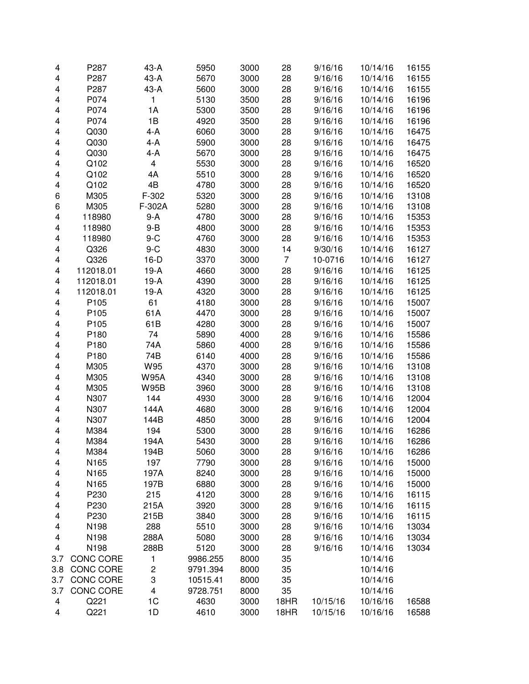| 4                       | P287             | 43-A                    | 5950     | 3000 | 28             | 9/16/16  | 10/14/16 | 16155 |
|-------------------------|------------------|-------------------------|----------|------|----------------|----------|----------|-------|
| 4                       | P287             | 43-A                    | 5670     | 3000 | 28             | 9/16/16  | 10/14/16 | 16155 |
| 4                       | P287             | 43-A                    | 5600     | 3000 | 28             | 9/16/16  | 10/14/16 | 16155 |
| 4                       | P074             | 1                       | 5130     | 3500 | 28             | 9/16/16  | 10/14/16 | 16196 |
| 4                       | P074             | 1A                      | 5300     | 3500 | 28             | 9/16/16  | 10/14/16 | 16196 |
| 4                       | P074             | 1B                      | 4920     | 3500 | 28             | 9/16/16  | 10/14/16 | 16196 |
| 4                       | Q030             | $4-A$                   | 6060     | 3000 | 28             | 9/16/16  | 10/14/16 | 16475 |
| 4                       | Q030             | 4-A                     | 5900     | 3000 | 28             | 9/16/16  | 10/14/16 | 16475 |
| 4                       | Q030             | 4-A                     | 5670     | 3000 | 28             | 9/16/16  | 10/14/16 | 16475 |
| 4                       | Q102             | 4                       | 5530     | 3000 | 28             | 9/16/16  | 10/14/16 | 16520 |
| 4                       | Q102             | 4A                      | 5510     | 3000 | 28             | 9/16/16  | 10/14/16 | 16520 |
| 4                       | Q102             | 4B                      | 4780     | 3000 | 28             | 9/16/16  | 10/14/16 | 16520 |
| 6                       | M305             | F-302                   | 5320     | 3000 | 28             | 9/16/16  | 10/14/16 | 13108 |
| 6                       | M305             | F-302A                  | 5280     | 3000 | 28             | 9/16/16  | 10/14/16 | 13108 |
| 4                       | 118980           | $9-A$                   | 4780     | 3000 | 28             | 9/16/16  | 10/14/16 | 15353 |
| 4                       | 118980           | $9 - B$                 | 4800     | 3000 | 28             | 9/16/16  | 10/14/16 | 15353 |
| 4                       | 118980           | $9-C$                   | 4760     | 3000 | 28             | 9/16/16  | 10/14/16 | 15353 |
| 4                       | Q326             | $9-C$                   | 4830     | 3000 | 14             | 9/30/16  | 10/14/16 | 16127 |
| 4                       | Q326             | $16-D$                  | 3370     | 3000 | $\overline{7}$ | 10-0716  | 10/14/16 | 16127 |
| 4                       | 112018.01        | $19-A$                  | 4660     | 3000 | 28             | 9/16/16  | 10/14/16 | 16125 |
| 4                       | 112018.01        | $19-A$                  | 4390     | 3000 | 28             | 9/16/16  | 10/14/16 | 16125 |
| 4                       | 112018.01        | $19-A$                  | 4320     | 3000 | 28             | 9/16/16  | 10/14/16 | 16125 |
| 4                       | P105             | 61                      | 4180     | 3000 | 28             | 9/16/16  | 10/14/16 | 15007 |
| 4                       | P105             | 61A                     | 4470     | 3000 | 28             | 9/16/16  | 10/14/16 | 15007 |
| 4                       | P105             | 61B                     | 4280     | 3000 | 28             | 9/16/16  | 10/14/16 | 15007 |
| 4                       | P180             | 74                      | 5890     | 4000 | 28             | 9/16/16  | 10/14/16 | 15586 |
| 4                       | P180             | 74A                     | 5860     | 4000 | 28             | 9/16/16  | 10/14/16 | 15586 |
| 4                       | P180             | 74B                     | 6140     | 4000 | 28             | 9/16/16  | 10/14/16 | 15586 |
| 4                       | M305             | W95                     | 4370     | 3000 | 28             | 9/16/16  | 10/14/16 | 13108 |
| 4                       | M305             | <b>W95A</b>             | 4340     | 3000 | 28             | 9/16/16  | 10/14/16 | 13108 |
| 4                       | M305             | <b>W95B</b>             | 3960     | 3000 | 28             | 9/16/16  | 10/14/16 | 13108 |
| 4                       | N307             | 144                     | 4930     | 3000 | 28             | 9/16/16  | 10/14/16 | 12004 |
| 4                       | N307             | 144A                    | 4680     | 3000 | 28             | 9/16/16  | 10/14/16 | 12004 |
| 4                       | N307             | 144B                    | 4850     | 3000 | 28             | 9/16/16  | 10/14/16 | 12004 |
| 4                       | M384             | 194                     | 5300     | 3000 | 28             | 9/16/16  | 10/14/16 | 16286 |
| $\overline{\mathbf{4}}$ | M384             | 194A                    | 5430     | 3000 | 28             |          | 10/14/16 |       |
|                         |                  |                         |          |      |                | 9/16/16  |          | 16286 |
| 4                       | M384             | 194B                    | 5060     | 3000 | 28             | 9/16/16  | 10/14/16 | 16286 |
| 4                       | N165             | 197                     | 7790     | 3000 | 28             | 9/16/16  | 10/14/16 | 15000 |
| 4                       | N165             | 197A                    | 8240     | 3000 | 28             | 9/16/16  | 10/14/16 | 15000 |
| 4                       | N165             | 197B                    | 6880     | 3000 | 28             | 9/16/16  | 10/14/16 | 15000 |
| 4                       | P230             | 215                     | 4120     | 3000 | 28             | 9/16/16  | 10/14/16 | 16115 |
| 4                       | P230             | 215A                    | 3920     | 3000 | 28             | 9/16/16  | 10/14/16 | 16115 |
| 4                       | P230             | 215B                    | 3840     | 3000 | 28             | 9/16/16  | 10/14/16 | 16115 |
| 4                       | N198             | 288                     | 5510     | 3000 | 28             | 9/16/16  | 10/14/16 | 13034 |
| 4                       | N198             | 288A                    | 5080     | 3000 | 28             | 9/16/16  | 10/14/16 | 13034 |
| 4                       | N198             | 288B                    | 5120     | 3000 | 28             | 9/16/16  | 10/14/16 | 13034 |
| 3.7                     | <b>CONC CORE</b> | 1                       | 9986.255 | 8000 | 35             |          | 10/14/16 |       |
| 3.8                     | <b>CONC CORE</b> | $\overline{\mathbf{c}}$ | 9791.394 | 8000 | 35             |          | 10/14/16 |       |
| 3.7                     | <b>CONC CORE</b> | 3                       | 10515.41 | 8000 | 35             |          | 10/14/16 |       |
| 3.7                     | CONC CORE        | 4                       | 9728.751 | 8000 | 35             |          | 10/14/16 |       |
| 4                       | Q221             | 1C                      | 4630     | 3000 | 18HR           | 10/15/16 | 10/16/16 | 16588 |
| 4                       | Q221             | 1D                      | 4610     | 3000 | 18HR           | 10/15/16 | 10/16/16 | 16588 |